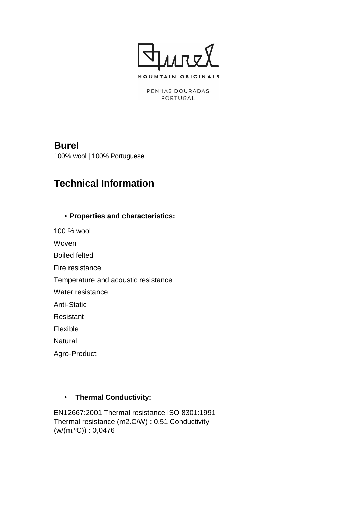

PENHAS DOURADAS PORTUGAL

## **Burel**

100% wool | 100% Portuguese

# **Technical Information**

#### • **Properties and characteristics:**

100 % wool

Woven

Boiled felted

Fire resistance

Temperature and acoustic resistance

Water resistance

Anti-Static

Resistant

Flexible

**Natural** 

Agro-Product

## • **Thermal Conductivity:**

EN12667:2001 Thermal resistance ISO 8301:1991 Thermal resistance (m2.C/W) : 0,51 Conductivity  $(w/(m.°C)) : 0,0476$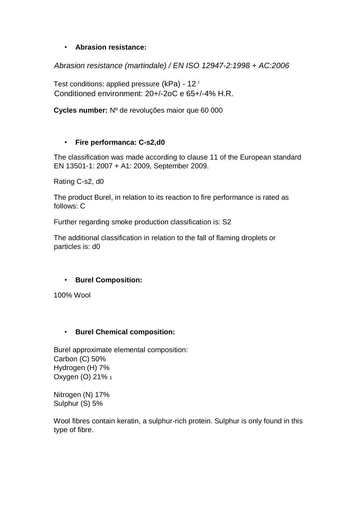## • **Abrasion resistance:**

*Abrasion resistance (martindale) / EN ISO 12947-2:1998 + AC:2006*

Test conditions: applied pressure (kPa) - 12<sup>i</sup> Conditioned environment: 20+/-2oC e 65+/-4% H.R.

**Cycles number:** Nº de revoluções maior que 60 000

#### • **Fire performanca: C-s2,d0**

The classification was made according to clause 11 of the European standard EN 13501-1: 2007 + A1: 2009, September 2009.

Rating C-s2, d0

The product Burel, in relation to its reaction to fire performance is rated as follows: C

Further regarding smoke production classification is: S2

The additional classification in relation to the fall of flaming droplets or particles is: d0

## • **Burel Composition:**

100% Wool

#### • **Burel Chemical composition:**

Burel approximate elemental composition: Carbon (C) 50% Hydrogen (H) 7% Oxygen (O) 21% <sup>1</sup>

Nitrogen (N) 17% Sulphur (S) 5%

Wool fibres contain keratin, a sulphur-rich protein. Sulphur is only found in this type of fibre.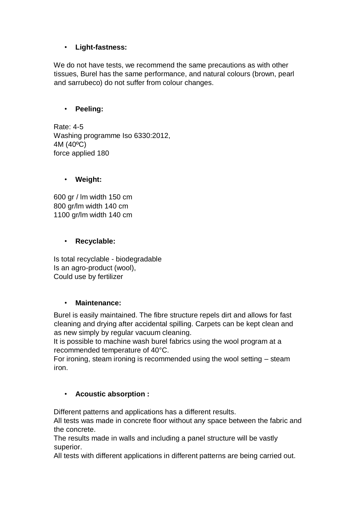## • **Light-fastness:**

We do not have tests, we recommend the same precautions as with other tissues, Burel has the same performance, and natural colours (brown, pearl and sarrubeco) do not suffer from colour changes.

#### • **Peeling:**

Rate: 4-5 Washing programme Iso 6330:2012, 4M (40ºC) force applied 180

## • **Weight:**

600 gr / lm width 150 cm 800 gr/lm width 140 cm 1100 gr/lm width 140 cm

#### • **Recyclable:**

Is total recyclable - biodegradable Is an agro-product (wool), Could use by fertilizer

#### • **Maintenance:**

Burel is easily maintained. The fibre structure repels dirt and allows for fast cleaning and drying after accidental spilling. Carpets can be kept clean and as new simply by regular vacuum cleaning.

It is possible to machine wash burel fabrics using the wool program at a recommended temperature of 40°C.

For ironing, steam ironing is recommended using the wool setting – steam iron.

## • **Acoustic absorption :**

Different patterns and applications has a different results.

All tests was made in concrete floor without any space between the fabric and the concrete.

The results made in walls and including a panel structure will be vastly superior.

All tests with different applications in different patterns are being carried out.